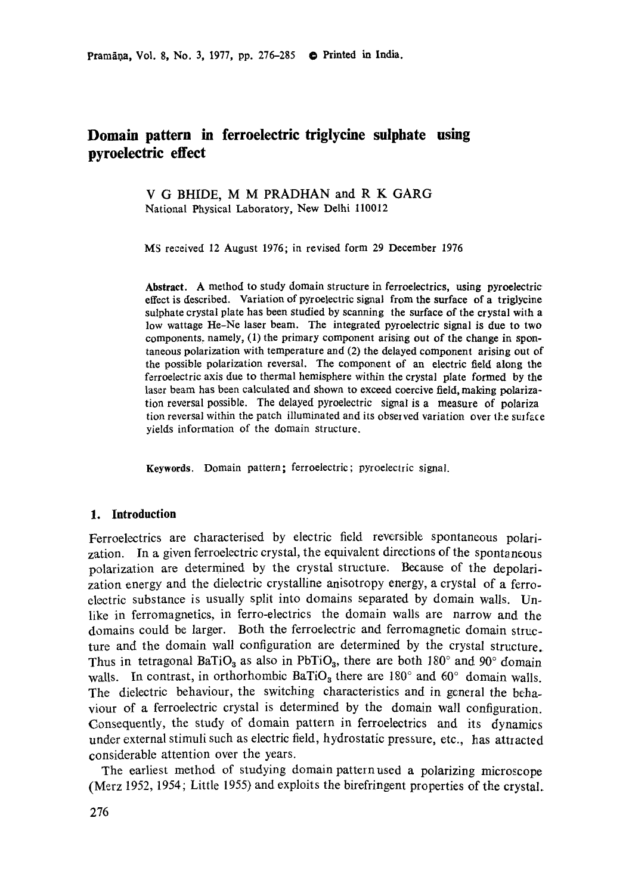Pramfir~a, Vol. 8, No. 3, 1977, pp. 276-285 © Printed in India.

# **Domain pattern in ferroelectric triglyeine sulphate using pyroelectrie effect**

V G BHIDE, M M PRADHAN and R K GARG National Physical Laboratory, New Delhi 110012

MS received 12 August 1976; in revised form 29 December 1976

**Abstract.** A method to study domain structure in ferroelectrics, using pyroelectric effect is described. Variation of pyroelectric signal from the surface of a triglycine sulphate crystal plate has been studied by scanning the surface of the crystal with a low wattage He-Ne laser beam. The integrated pyroelectric signal is due to two components, namely, (1) the primary component arising out of the change in spontaneous polarization with temperature and (2) the delayed component arising out of the possible polarization reversal. The component of an electric field along the ferroelectric axis due to thermal hemisphere within the crystal plate formed by **the**  laser beam has been calculated and shown to exceed coercive field, making polarization reversal possible. The delayed pyroelectric signal is a measure of polariza tion reversal within the patch illuminated and its observed variation over the surface yields information of the domain structure.

**Keywords.** Domain pattern; ferroelectric; pyroelectric signal.

### **1. Introduction**

Ferroelectrics are characterised by electric field reversible spontaneous polarization. In a given ferroelectric crystal, the equivalent directions of the spontaneous polarization are determined by the crystal structure. Because of the depolarization energy and the dielectric crystalline anisotropy energy, a crystal of a ferroelectric substance is usually split into domains separated by domain walls. Unlike in ferromagnetics, in ferro-electrics the domain walls are narrow and the domains could be larger. Both the ferroelectric and ferromagnetic domain structure and the domain wall configuration are determined by the crystal structure. Thus in tetragonal BaTiO<sub>3</sub> as also in PbTiO<sub>3</sub>, there are both 180 $^{\circ}$  and 90 $^{\circ}$  domain walls. In contrast, in orthorhombic BaTiO<sub>3</sub> there are 180 $^{\circ}$  and 60 $^{\circ}$  domain walls. The dielectric behaviour, the switching characteristics and in general the behaviour of a ferroelectric crystal is determined by the domain wall configuration. Consequently, the study of domain pattern in ferroelectrics and its dynamics under external stimuli such as electric field, hydrostatic pressure, etc., has attracted considerable attention over the years.

The earliest method of studying domain pattern used a polarizing microscope (Merz 1952, 1954; Little 1955) and exploits the birefringent properties of the crystal.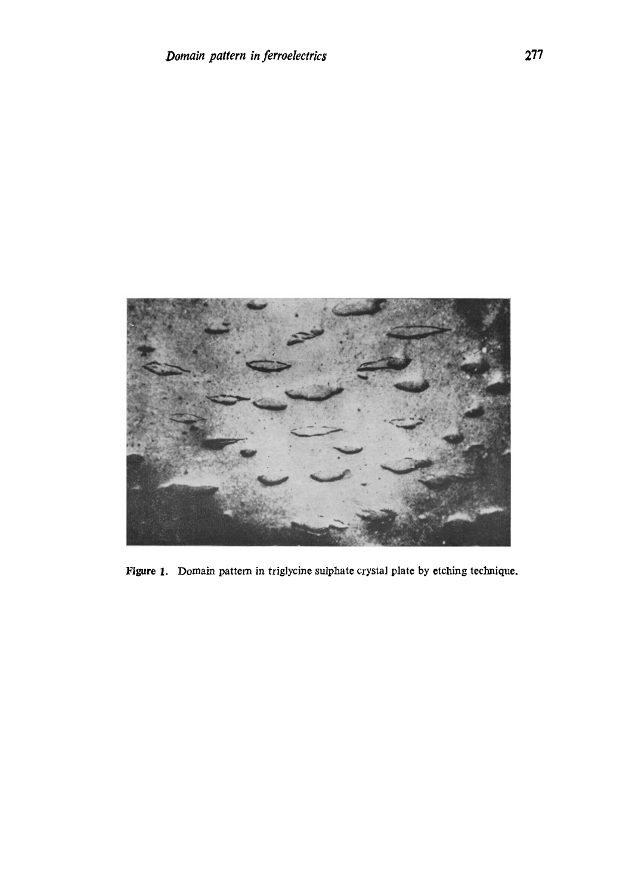

Figure 1. Domain pattern in triglycine sulphate crystal plate by etching technique.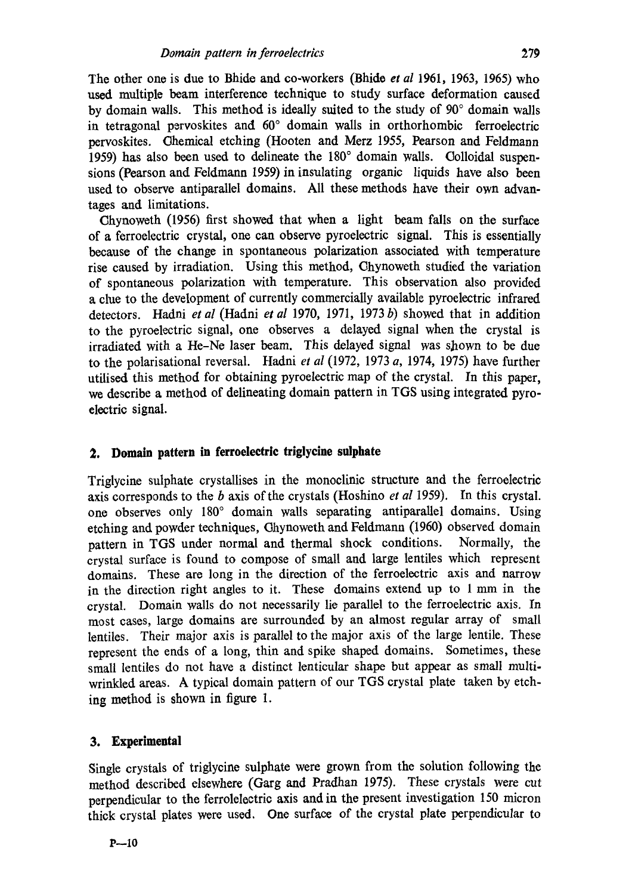The other one is due to Bhide and co-workers (Bhido *et al* 1961, 1963, 1965) who used multiple beam interference technique to study surface deformation caused by domain walls. This method is ideally suited to the study of 90 ° domain walls in tetragonal pervoskites and 60° domain walls in orthorhombic ferroelectric pervoskites. Chemical etching (Hooten and Merz 1955, Pearson and Feldmann 1959) has also been used to delineate the 180° domain walls. Colloidal suspensions (Pearson and Feldmann 1959) in insulating organic liquids have also been used to observe antiparallel domains. All these methods have their own advantages and limitations.

Ghynoweth (1956) first showed that when a light beam falls on the surface of a ferroelectric crystal, one can observe pyroelectric signal. This is essentially because of the change in spontaneous polarization associated with temperature rise caused by irradiation. Using this method, Chynoweth studied the variation of spontaneous polarization with temperature. This observation also provided a clue to the development of currently commercially available pyroelectric infrared detectors. Hadni *et al* (Hadni *et al* 1970, 1971, 1973 b) showed that in addition to the pyroelectric signal, one observes a delayed signal when the crystal is irradiated with a He-Ne laser beam. This delayed signal was shown to be due to the polarisational reversal. Hadni *et al* (1972, 1973 a, 1974, 1975) have further utilised this method for obtaining pyroelectric map of the crystal. In this paper, we describe a method of delineating domain pattern in TGS using integrated pyroelectric signal.

## **2. Domain pattern in ferroeleetrie triglyeine sulphate**

Triglycine sulphate crystallises in the monoclinic structure and the ferroelectric axis corresponds to the b axis of the crystals (Hoshino *et al* 1959). In this crystal. one observes only 180° domain walls separating antiparallel domains. Using etching and powder techniques, Ghynoweth and Feldmann (1960) observed domain pattern in TGS under normal and thermal shock conditions. Normally, the crystal surface is found to compose of small and large lentiles which represent domains. These are long in the direction of the ferroeleetric axis and narrow in the direction right angles to it. These domains extend up to 1 mm in the crystal. Domain walls do not necessarily lie parallel to the ferroelectric axis. In most cases, large domains are surrounded by an almost regular array of small lentiles. Their major axis is parallel to the major axis of the large lentile. These represent the ends of a long, thin and spike shaped domains. Sometimes, these small lentiles do not have a distinct lentieular shape but appear as small multiwrinkled areas. A typical domain pattern of our TGS crystal plate taken by etching method is shown in figure 1.

## **3. Experimental**

Single crystals of triglycine sulphate were grown from the solution following the method described elsewhere (Garg and Pradhan 1975). These crystals were cut perpendicular to the ferroleleotrio axis and in the present investigation 150 micron thick crystal plates were used. One surface of the crystal plato perpendicular to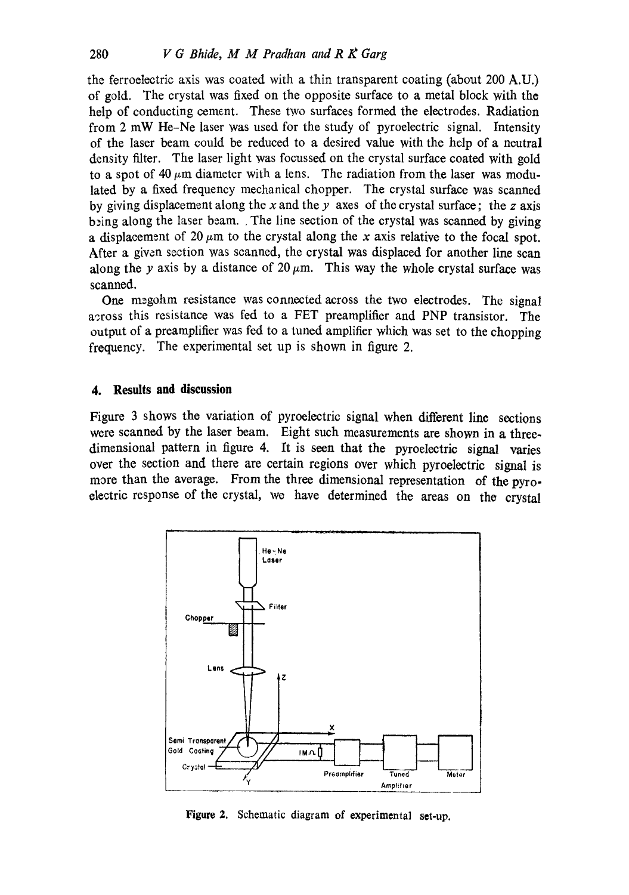the ferroelectric axis was coated with a thin transparent coating (about 200 A.U.) of gold. The crystal was fixed on the opposite surface to a metal block with the help of conducting cement. These two surfaces formed the electrodes. Radiation from 2 mW He-Ne laser was used for the study of pyroelectric signal. Intensity of the laser beam could be reduced to a desired value with the help of a neutral density filter. The laser light was focussed on the crystal surface coated with gold to a spot of 40  $\mu$ m diameter with a lens. The radiation from the laser was modulated by a fixed frequency mechanical chopper. The crystal surface was scanned by giving displacement along the x and the y axes of the crystal surface; the z axis being along the laser beam. The line section of the crystal was scanned by giving a displacement of 20  $\mu$ m to the crystal along the x axis relative to the focal spot. After a given section was scanned, the crystal was displaced for another line scan along the y axis by a distance of 20  $\mu$ m. This way the whole crystal surface was scanned.

One megohm resistance was connected across the two electrodes. The signal across this resistance was fed to a FET preamplifier and PNP transistor. The output of a preamplifier was fed to a tuned amplifier which was set to the chopping frequency. The experimental set up is shown in figure 2.

### **4. Results and discussion**

Figure 3 shows the variation of pyroelectric signal when different line sections were scanned by the laser beam. Eight such measurements are shown in a threedimensional pattern in figure 4. It is seen that the pyroeleetric signal varies over the section and there are certain regions over which pyroelectric signal is more than the average. From the three dimensional representation of the pyroelectric response of the crystal, we have determined the areas on the crystal



**Figure** 2. Schematic diagram of experimental set-up.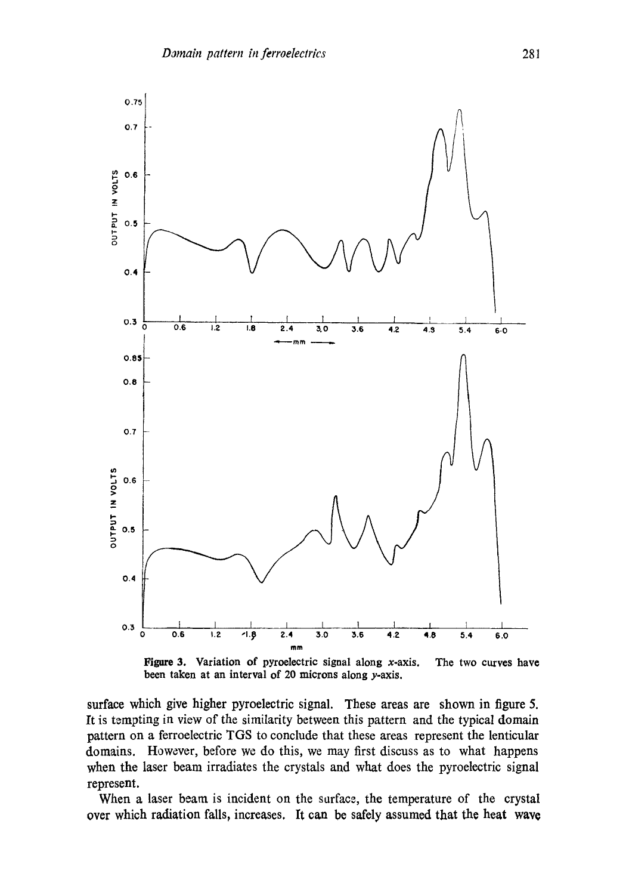

Figure 3. Variation of pyroelectric signal along x-axis, been taken at an interval of 20 microns along y-axis. The two curves have

surface which give higher pyroelectric signal. These areas are shown in figure 5. It is tempting in view of the similarity between this pattern and the typical domain pattern on a ferroelectric TGS to conclude that these areas represent the lenticular domains. However, before we do this, we may first discuss as to what happens when the laser beam irradiates the crystals and what does the pyroelectric signal represent.

When a laser beam is incident on the surface, the temperature of the crystal over which radiation falls, increases. It can be safely assumed that the heat wave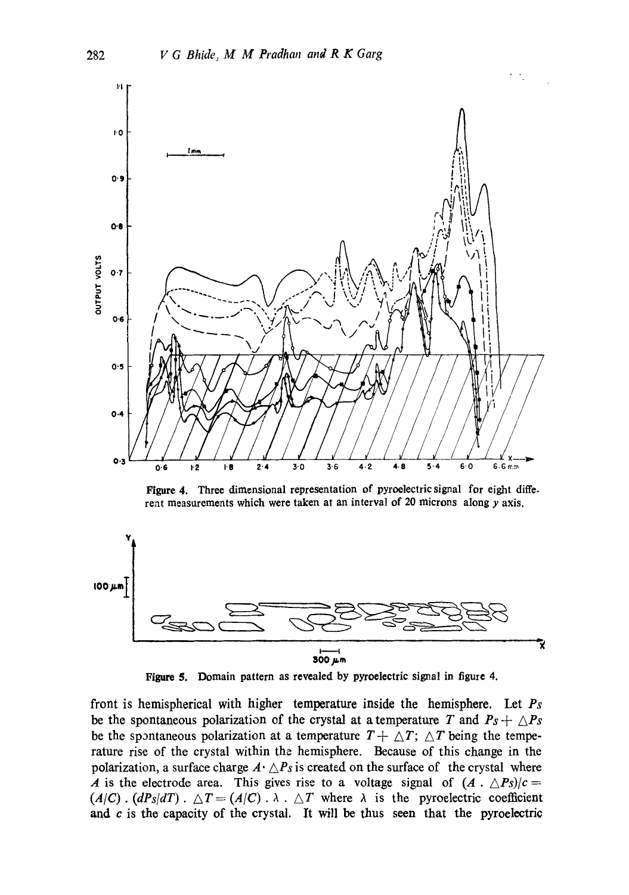

Figure 4. Three dimensional representation of pyroelectric signal for eight different measurements which were taken at an interval of 20 microns along  $y$  axis.



Figure 5. Domain pattern as revealed by pyroelectric signal in figure 4.

front is hemispherical with higher temperature inside the hemisphere. Let *Ps*  be the spontaneous polarization of the crystal at a temperature T and  $Ps + \triangle Ps$ be the spontaneous polarization at a temperature  $T + \triangle T$ ;  $\triangle T$  being the temperature rise of the crystal within the hemisphere. Because of this change in the polarization, a surface charge  $A \cdot \triangle P_s$  is created on the surface of the crystal where A is the electrode area. This gives rise to a voltage signal of  $(A \cdot \triangle Ps)/c =$  $(A/C)$ .  $(dP<sub>S</sub>/dT)$ .  $\triangle T = (A/C)$ .  $\lambda \triangle T$  where  $\lambda$  is the pyroelectric coefficient and  $c$  is the capacity of the crystal. It will be thus seen that the pyroelectric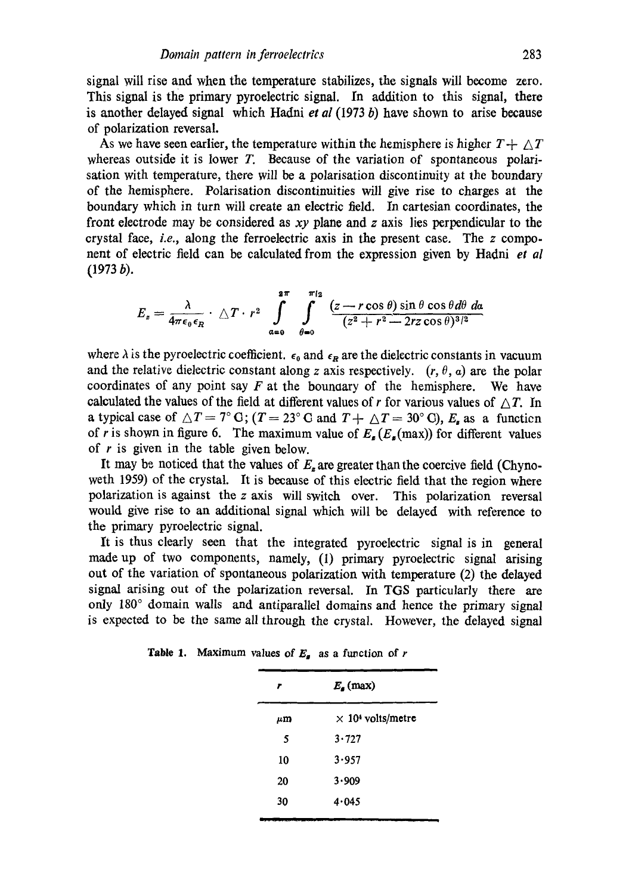signal will rise and when the temperature stabilizes, the signals will become zero. This signal is the primary pyroelectric signal. In addition to this signal, there is another delayed signal which Hadni *et al* (1973 b) have shown to arise because of polarization reversal.

As we have seen earlier, the temperature within the hemisphere is higher  $T + \wedge T$ whereas outside it is lower T. Because of the variation of spontaneous polarisation with temperature, there will be a polarisation discontinuity at the boundary of the hemisphere. Polarisation discontinuities will give rise to charges at the boundary which in turn will create an electric field. In cartesian coordinates, the front electrode may be considered as *xy* plane and z axis lies perpendicular to the crystal face, *i.e.*, along the ferroelectric axis in the present case. The z componeat of electric field can be calculated from the expression given by Hadni *et al*  (1973 b).

$$
E_s = \frac{\lambda}{4\pi\epsilon_0\epsilon_R} \cdot \Delta T \cdot r^2 \int_{a=0}^{2\pi} \int_{\theta=0}^{\pi} \frac{(z-r\cos\theta)\sin\theta\cos\theta d\theta d\theta}{(z^2+r^2-2rz\cos\theta)^{3/2}}
$$

where  $\lambda$  is the pyroelectric coefficient,  $\epsilon_0$  and  $\epsilon_R$  are the dielectric constants in vacuum and the relative dielectric constant along z axis respectively.  $(r, \theta, a)$  are the polar coordinates of any point say  $F$  at the boundary of the hemisphere. We have calculated the values of the field at different values of r for various values of  $\wedge T$ . In a typical case of  $\triangle T = 7^{\circ}$  G; (T = 23°C and T +  $\triangle T = 30^{\circ}$  G), E<sub>n</sub> as a function of r is shown in figure 6. The maximum value of  $E_{\epsilon}(E_{\epsilon}(\text{max}))$  for different values of r is given in the table given below.

It may be noticed that the values of  $E<sub>z</sub>$  are greater than the coercive field (Chynoweth 1959) of the crystal. It is because of this electric field that the region where polarization is against the z axis will switch over. This polarization reversal would give rise to an additional signal which will be delayed with reference to the primary pyroelectric signal.

It is thus clearly seen that the integrated pyroelectric signal is in general made up of two components, namely, (1) primary pyroelectric signal arising out of the variation of spontaneous polarization with temperature (2) the delayed signal arising out of the polarization reversal. In TGS particularly there are only 180° domain walls and antiparallel domains and hence the primary signal is expected to be the same all through the crystal. However, the delayed signal

| r       | $E_a$ (max)                          |
|---------|--------------------------------------|
| $\mu$ m | $\times$ 10 <sup>4</sup> volts/metre |
| 5       | 3.727                                |
| 10      | 3.957                                |
| 20      | 3.909                                |
| 30      | 4.045                                |
|         |                                      |

**Table 1.** Maximum values of  $E_{\rm g}$  as a function of r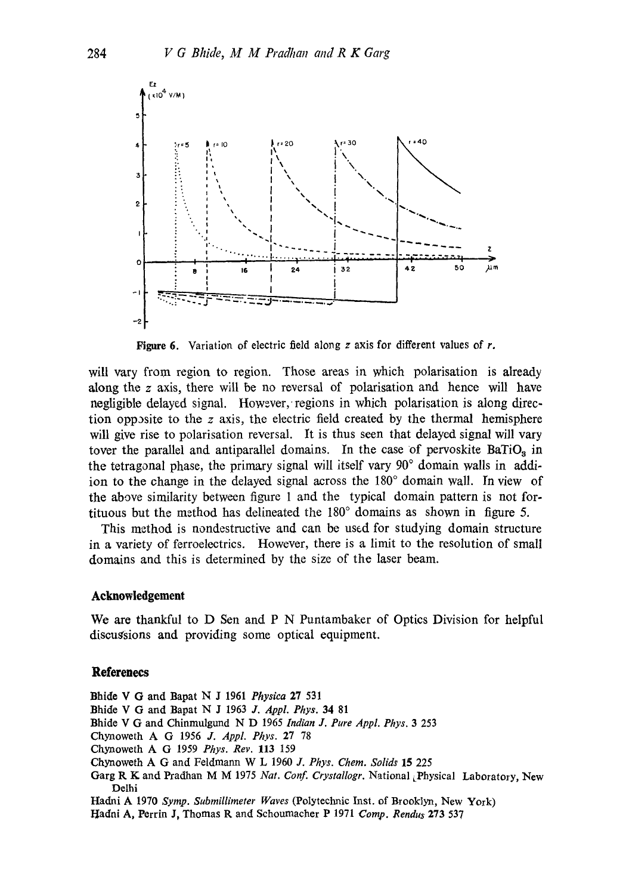

**Figure 6. Variation of electric field along z axis for different values of r.** 

**will vary from region to region. Those areas in which polarisation is already along the z axis, there will be no reversal of polarisation and hence will have negligible delayed signal.** However, regions in which polarisation is along direc**tion opp3site to the z axis, the electric field created by the thermal hemisphere will give rise to polarisation reversal. It is thus seen that delayed signal will vary**  tover the parallel and antiparallel domains. In the case of pervoskite BaTiO<sub>s</sub> in the tetragonal phase, the primary signal will itself vary 90° domain walls in addiion to the change in the delayed signal across the 180<sup>°</sup> domain wall. In view of **the above similarity between figure 1 and the typical domain pattern is not fortituous but the method has delineated the 180 ° domains as shown in figure 5.** 

**This method is nondestructive and can be used for studying domain structure in a variety of ferroelectrics. However, there is a limit to the resolution of small domains and this is determined by the size of the laser beam.** 

#### **Acknowledgement**

**We are thankful to D Sen and P N Puntambaker of Optics Division for helpful**  discussions and providing some optical equipment.

### **References**

**Bhide V G and Bapat N J 1961** *Physica* **27 531** 

- **Bhide V G and Bapat N J 1963** *J, Appl. Phys.* **34 81**
- **Bhide** V G **and Chinmulgund** N 13 1965 *Indian J. Pure Appl. Phys.* 3 253
- **Chynoweth** A G 1956 *J. Appl. Phys.* 27 78
- **Chynoweth** A G 1959 *Phys. Rev.* 113 159
- **Chynoweth A G and Feldmann W L 1960** *J. Phys. Chem. Solids* **15** 225
- **Garg** R. K **and Pradhan** M M 1975 *Nat. Conf. Crystallogr.* **National LPhysical Laboratory, New Delhi**
- Hadni A 1970 Symp. Submillimeter Waves (Polytechnic Inst. of Brooklyn, New York)
- **Hadni A, Perrin J, Thomas R and Schoumacher** P 1971 *Comp. Rendus* 273 537